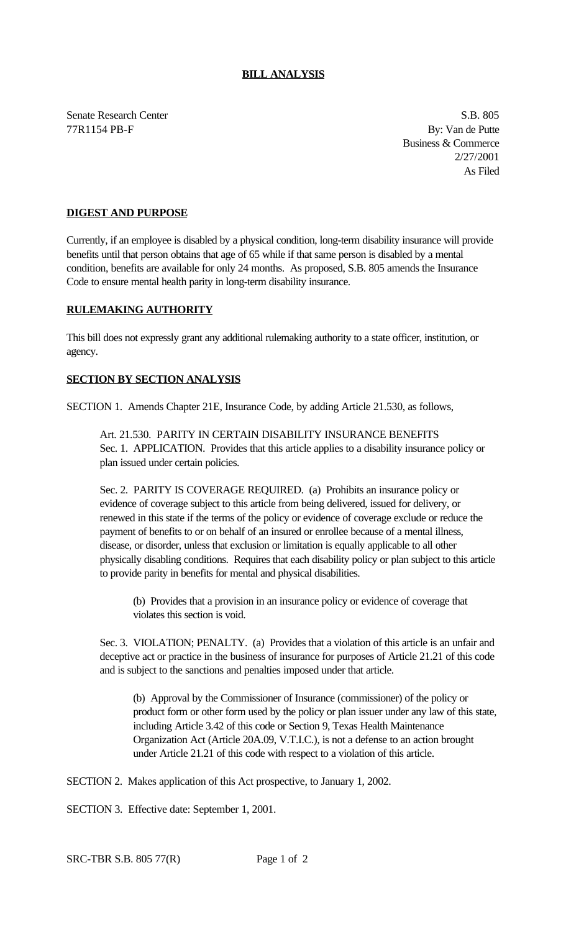## **BILL ANALYSIS**

Senate Research Center S.B. 805 77R1154 PB-F By: Van de Putte

Business & Commerce 2/27/2001 As Filed

## **DIGEST AND PURPOSE**

Currently, if an employee is disabled by a physical condition, long-term disability insurance will provide benefits until that person obtains that age of 65 while if that same person is disabled by a mental condition, benefits are available for only 24 months. As proposed, S.B. 805 amends the Insurance Code to ensure mental health parity in long-term disability insurance.

## **RULEMAKING AUTHORITY**

This bill does not expressly grant any additional rulemaking authority to a state officer, institution, or agency.

## **SECTION BY SECTION ANALYSIS**

SECTION 1. Amends Chapter 21E, Insurance Code, by adding Article 21.530, as follows,

Art. 21.530. PARITY IN CERTAIN DISABILITY INSURANCE BENEFITS Sec. 1. APPLICATION. Provides that this article applies to a disability insurance policy or plan issued under certain policies.

Sec. 2. PARITY IS COVERAGE REQUIRED. (a) Prohibits an insurance policy or evidence of coverage subject to this article from being delivered, issued for delivery, or renewed in this state if the terms of the policy or evidence of coverage exclude or reduce the payment of benefits to or on behalf of an insured or enrollee because of a mental illness, disease, or disorder, unless that exclusion or limitation is equally applicable to all other physically disabling conditions. Requires that each disability policy or plan subject to this article to provide parity in benefits for mental and physical disabilities.

(b) Provides that a provision in an insurance policy or evidence of coverage that violates this section is void.

Sec. 3. VIOLATION; PENALTY. (a) Provides that a violation of this article is an unfair and deceptive act or practice in the business of insurance for purposes of Article 21.21 of this code and is subject to the sanctions and penalties imposed under that article.

(b) Approval by the Commissioner of Insurance (commissioner) of the policy or product form or other form used by the policy or plan issuer under any law of this state, including Article 3.42 of this code or Section 9, Texas Health Maintenance Organization Act (Article 20A.09, V.T.I.C.), is not a defense to an action brought under Article 21.21 of this code with respect to a violation of this article.

SECTION 2. Makes application of this Act prospective, to January 1, 2002.

SECTION 3. Effective date: September 1, 2001.